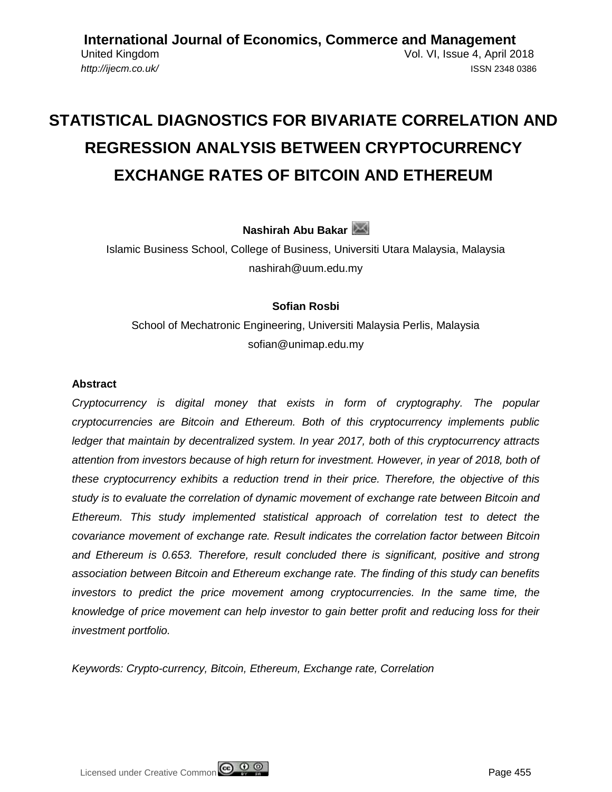**[International Journal of Economics, Commerce and Management](http://ijecm.co.uk/)** United Kingdom Vol. VI, Issue 4, April 2018 *<http://ijecm.co.uk/>* ISSN 2348 0386

# **STATISTICAL DIAGNOSTICS FOR BIVARIATE CORRELATION AND REGRESSION ANALYSIS BETWEEN CRYPTOCURRENCY EXCHANGE RATES OF BITCOIN AND ETHEREUM**

**Nashirah Abu Bakar**

Islamic Business School, College of Business, Universiti Utara Malaysia, Malaysia nashirah@uum.edu.my

## **Sofian Rosbi**

School of Mechatronic Engineering, Universiti Malaysia Perlis, Malaysia sofian@unimap.edu.my

#### **Abstract**

*Cryptocurrency is digital money that exists in form of cryptography. The popular cryptocurrencies are Bitcoin and Ethereum. Both of this cryptocurrency implements public ledger that maintain by decentralized system. In year 2017, both of this cryptocurrency attracts attention from investors because of high return for investment. However, in year of 2018, both of these cryptocurrency exhibits a reduction trend in their price. Therefore, the objective of this study is to evaluate the correlation of dynamic movement of exchange rate between Bitcoin and Ethereum. This study implemented statistical approach of correlation test to detect the covariance movement of exchange rate. Result indicates the correlation factor between Bitcoin and Ethereum is 0.653. Therefore, result concluded there is significant, positive and strong association between Bitcoin and Ethereum exchange rate. The finding of this study can benefits investors to predict the price movement among cryptocurrencies. In the same time, the knowledge of price movement can help investor to gain better profit and reducing loss for their investment portfolio.*

*Keywords: Crypto-currency, Bitcoin, Ethereum, Exchange rate, Correlation*

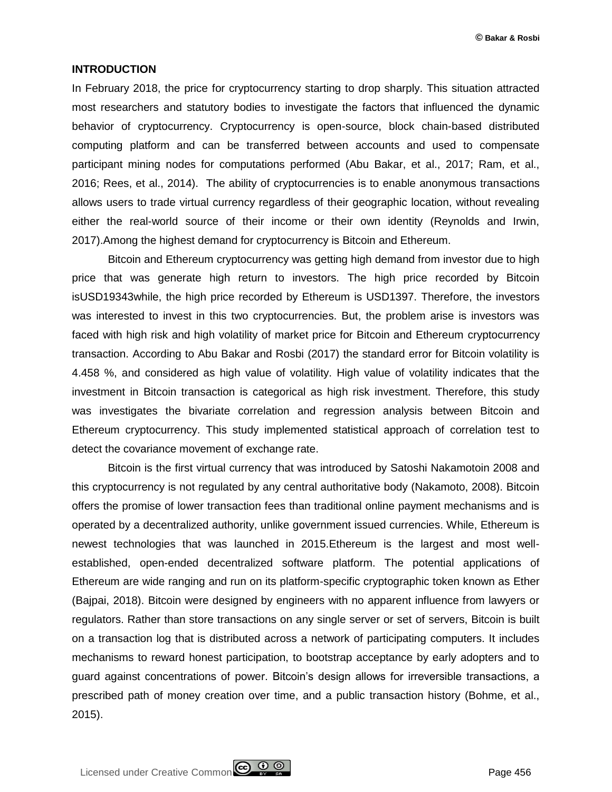#### **INTRODUCTION**

In February 2018, the price for cryptocurrency starting to drop sharply. This situation attracted most researchers and statutory bodies to investigate the factors that influenced the dynamic behavior of cryptocurrency. Cryptocurrency is open-source, block chain-based distributed computing platform and can be transferred between accounts and used to compensate participant mining nodes for computations performed (Abu Bakar, et al., 2017; Ram, et al., 2016; Rees, et al., 2014). The ability of cryptocurrencies is to enable anonymous transactions allows users to trade virtual currency regardless of their geographic location, without revealing either the real-world source of their income or their own identity (Reynolds and Irwin, 2017).Among the highest demand for cryptocurrency is Bitcoin and Ethereum.

Bitcoin and Ethereum cryptocurrency was getting high demand from investor due to high price that was generate high return to investors. The high price recorded by Bitcoin isUSD19343while, the high price recorded by Ethereum is USD1397. Therefore, the investors was interested to invest in this two cryptocurrencies. But, the problem arise is investors was faced with high risk and high volatility of market price for Bitcoin and Ethereum cryptocurrency transaction. According to Abu Bakar and Rosbi (2017) the standard error for Bitcoin volatility is 4.458 %, and considered as high value of volatility. High value of volatility indicates that the investment in Bitcoin transaction is categorical as high risk investment. Therefore, this study was investigates the bivariate correlation and regression analysis between Bitcoin and Ethereum cryptocurrency. This study implemented statistical approach of correlation test to detect the covariance movement of exchange rate.

Bitcoin is the first virtual currency that was introduced by Satoshi Nakamotoin 2008 and this cryptocurrency is not regulated by any central authoritative body (Nakamoto, 2008). Bitcoin offers the promise of lower transaction fees than traditional online payment mechanisms and is operated by a decentralized authority, unlike government issued currencies. While, Ethereum is newest technologies that was launched in 2015.Ethereum is the largest and most wellestablished, open-ended decentralized software platform. The potential applications of Ethereum are wide ranging and run on its platform-specific cryptographic token known as Ether (Bajpai, 2018). Bitcoin were designed by engineers with no apparent influence from lawyers or regulators. Rather than store transactions on any single server or set of servers, Bitcoin is built on a transaction log that is distributed across a network of participating computers. It includes mechanisms to reward honest participation, to bootstrap acceptance by early adopters and to guard against concentrations of power. Bitcoin's design allows for irreversible transactions, a prescribed path of money creation over time, and a public transaction history (Bohme, et al., 2015).

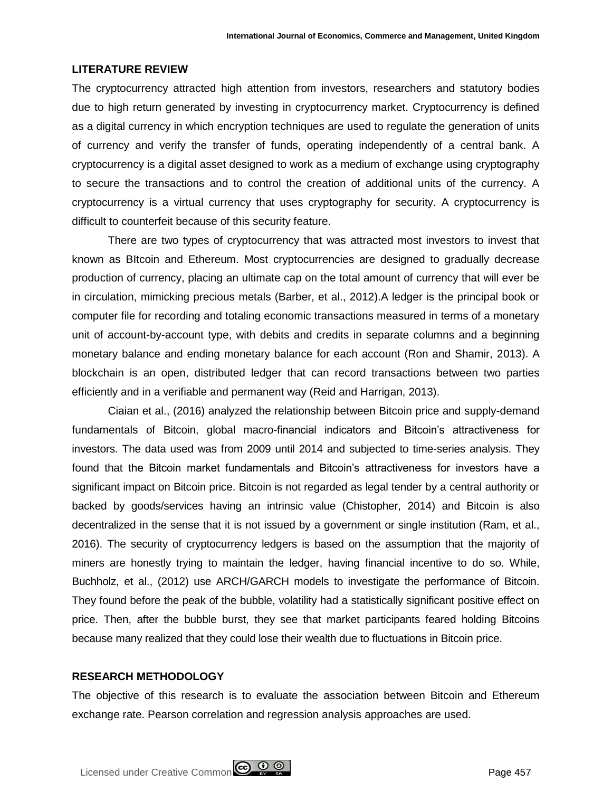## **LITERATURE REVIEW**

The cryptocurrency attracted high attention from investors, researchers and statutory bodies due to high return generated by investing in cryptocurrency market. Cryptocurrency is defined as a digital currency in which encryption techniques are used to regulate the generation of units of currency and verify the transfer of funds, operating independently of a central bank. A cryptocurrency is a digital asset designed to work as a medium of exchange using cryptography to secure the transactions and to control the creation of additional units of the currency. A cryptocurrency is a virtual currency that uses cryptography for security. A cryptocurrency is difficult to counterfeit because of this security feature.

There are two types of cryptocurrency that was attracted most investors to invest that known as BItcoin and Ethereum. Most cryptocurrencies are designed to gradually decrease production of currency, placing an ultimate cap on the total amount of currency that will ever be in circulation, mimicking precious metals (Barber, et al., 2012).A ledger is the principal book or computer file for recording and totaling economic transactions measured in terms of a monetary unit of account-by-account type, with debits and credits in separate columns and a beginning monetary balance and ending monetary balance for each account (Ron and Shamir, 2013). A blockchain is an open, distributed ledger that can record transactions between two parties efficiently and in a verifiable and permanent way (Reid and Harrigan, 2013).

Ciaian et al., (2016) analyzed the relationship between Bitcoin price and supply-demand fundamentals of Bitcoin, global macro-financial indicators and Bitcoin's attractiveness for investors. The data used was from 2009 until 2014 and subjected to time-series analysis. They found that the Bitcoin market fundamentals and Bitcoin's attractiveness for investors have a significant impact on Bitcoin price. Bitcoin is not regarded as legal tender by a central authority or backed by goods/services having an intrinsic value (Chistopher, 2014) and Bitcoin is also decentralized in the sense that it is not issued by a government or single institution (Ram, et al., 2016). The security of cryptocurrency ledgers is based on the assumption that the majority of miners are honestly trying to maintain the ledger, having financial incentive to do so. While, Buchholz, et al., (2012) use ARCH/GARCH models to investigate the performance of Bitcoin. They found before the peak of the bubble, volatility had a statistically significant positive effect on price. Then, after the bubble burst, they see that market participants feared holding Bitcoins because many realized that they could lose their wealth due to fluctuations in Bitcoin price.

### **RESEARCH METHODOLOGY**

The objective of this research is to evaluate the association between Bitcoin and Ethereum exchange rate. Pearson correlation and regression analysis approaches are used.

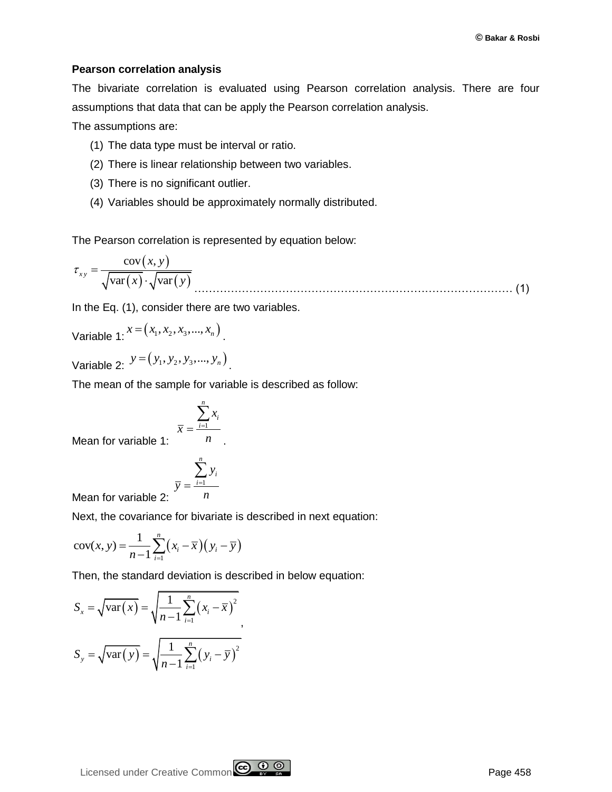### **Pearson correlation analysis**

The bivariate correlation is evaluated using Pearson correlation analysis. There are four assumptions that data that can be apply the Pearson correlation analysis.

The assumptions are:

- (1) The data type must be interval or ratio.
- (2) There is linear relationship between two variables.
- (3) There is no significant outlier.
- (4) Variables should be approximately normally distributed.

The Pearson correlation is represented by equation below:

$$
\tau_{xy} = \frac{\text{cov}(x, y)}{\sqrt{\text{var}(x)} \cdot \sqrt{\text{var}(y)}}
$$
(1)

In the Eq. (1), consider there are two variables.

Variable 1: 
$$
x = (x_1, x_2, x_3, ..., x_n)
$$
.

Variable 2:  $y = (y_1, y_2, y_3, ..., y_n)$ 

The mean of the sample for variable is described as follow:

$$
\overline{x} = \frac{\sum_{i=1}^{n} x_i}{n}.
$$

Mean for variable 1:

$$
\bar{y} = \frac{\sum_{i=1}^{n} y_i}{n}
$$

Mean for variable 2: *y*

Next, the covariance for bivariate is described in next equation:

$$
cov(x, y) = \frac{1}{n-1} \sum_{i=1}^{n} (x_i - \overline{x})(y_i - \overline{y})
$$

Then, the standard deviation is described in below equation:

$$
S_x = \sqrt{\text{var}(x)} = \sqrt{\frac{1}{n-1} \sum_{i=1}^{n} (x_i - \overline{x})^2}
$$

$$
S_y = \sqrt{\text{var}(y)} = \sqrt{\frac{1}{n-1} \sum_{i=1}^{n} (y_i - \overline{y})^2}
$$

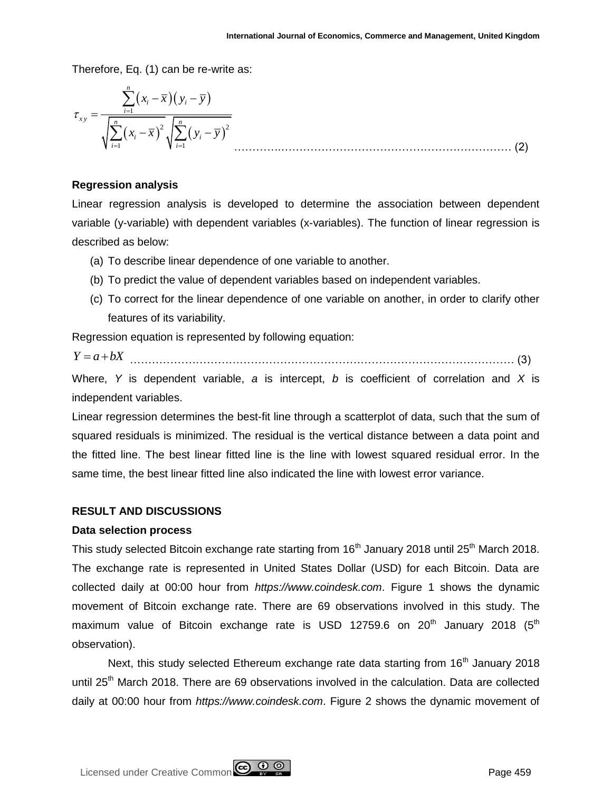Therefore, Eq. (1) can be re-write as:

$$
\tau_{xy} = \frac{\sum_{i=1}^{n} (x_i - \overline{x})(y_i - \overline{y})}{\sqrt{\sum_{i=1}^{n} (x_i - \overline{x})^2} \sqrt{\sum_{i=1}^{n} (y_i - \overline{y})^2}}
$$
(2)

## **Regression analysis**

Linear regression analysis is developed to determine the association between dependent variable (y-variable) with dependent variables (x-variables). The function of linear regression is described as below:

- (a) To describe linear dependence of one variable to another.
- (b) To predict the value of dependent variables based on independent variables.
- (c) To correct for the linear dependence of one variable on another, in order to clarify other features of its variability.

Regression equation is represented by following equation:

$$
Y = a + bX
$$
 (3)

Where, *Y* is dependent variable, *a* is intercept, *b* is coefficient of correlation and *X* is independent variables.

Linear regression determines the best-fit line through a scatterplot of data, such that the sum of squared residuals is minimized. The residual is the vertical distance between a data point and the fitted line. The best linear fitted line is the line with lowest squared residual error. In the same time, the best linear fitted line also indicated the line with lowest error variance.

# **RESULT AND DISCUSSIONS**

### **Data selection process**

This study selected Bitcoin exchange rate starting from 16<sup>th</sup> January 2018 until 25<sup>th</sup> March 2018. The exchange rate is represented in United States Dollar (USD) for each Bitcoin. Data are collected daily at 00:00 hour from *https://www.coindesk.com*. Figure 1 shows the dynamic movement of Bitcoin exchange rate. There are 69 observations involved in this study. The maximum value of Bitcoin exchange rate is USD 12759.6 on  $20^{th}$  January 2018 ( $5^{th}$ observation).

Next, this study selected Ethereum exchange rate data starting from  $16<sup>th</sup>$  January 2018 until 25<sup>th</sup> March 2018. There are 69 observations involved in the calculation. Data are collected daily at 00:00 hour from *https://www.coindesk.com*. Figure 2 shows the dynamic movement of

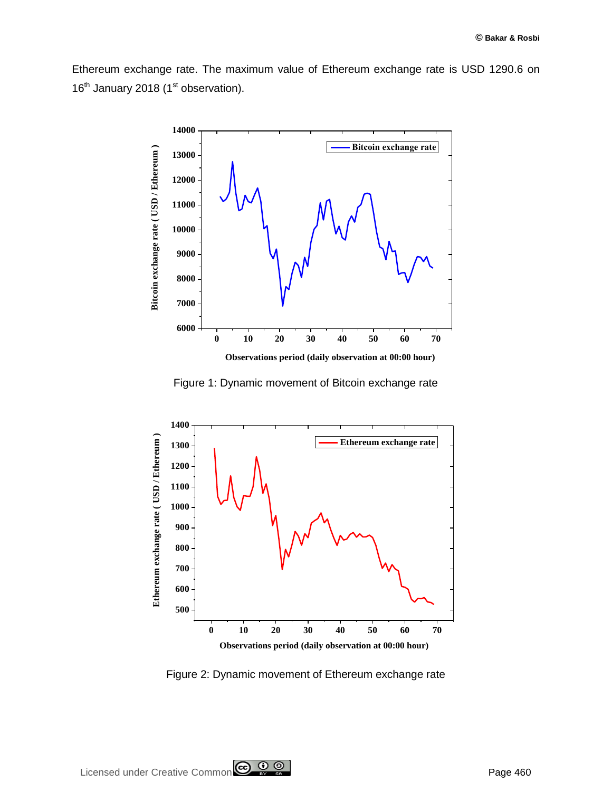Ethereum exchange rate. The maximum value of Ethereum exchange rate is USD 1290.6 on 16<sup>th</sup> January 2018 (1<sup>st</sup> observation).



Figure 1: Dynamic movement of Bitcoin exchange rate



Figure 2: Dynamic movement of Ethereum exchange rate

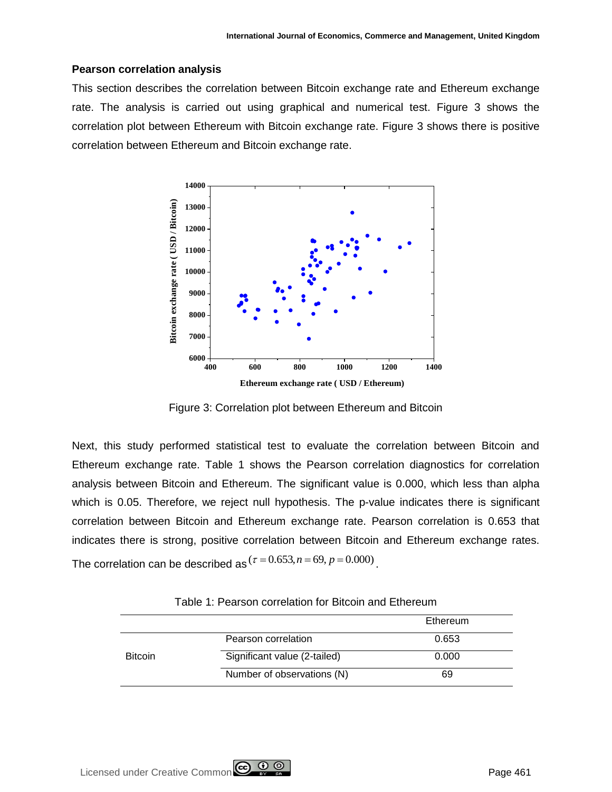## **Pearson correlation analysis**

This section describes the correlation between Bitcoin exchange rate and Ethereum exchange rate. The analysis is carried out using graphical and numerical test. Figure 3 shows the correlation plot between Ethereum with Bitcoin exchange rate. Figure 3 shows there is positive correlation between Ethereum and Bitcoin exchange rate.



**Ethereum exchange rate ( USD / Ethereum)**

Figure 3: Correlation plot between Ethereum and Bitcoin

Next, this study performed statistical test to evaluate the correlation between Bitcoin and Ethereum exchange rate. Table 1 shows the Pearson correlation diagnostics for correlation analysis between Bitcoin and Ethereum. The significant value is 0.000, which less than alpha which is 0.05. Therefore, we reject null hypothesis. The p-value indicates there is significant correlation between Bitcoin and Ethereum exchange rate. Pearson correlation is 0.653 that indicates there is strong, positive correlation between Bitcoin and Ethereum exchange rates. The correlation can be described as  $(\tau = 0.653, n = 69, p = 0.000)$ 

|                |                              | Ethereum |
|----------------|------------------------------|----------|
|                | Pearson correlation          | 0.653    |
| <b>Bitcoin</b> | Significant value (2-tailed) | 0.000    |
|                | Number of observations (N)   | 69       |

| Table 1: Pearson correlation for Bitcoin and Ethereum |  |  |
|-------------------------------------------------------|--|--|
|-------------------------------------------------------|--|--|

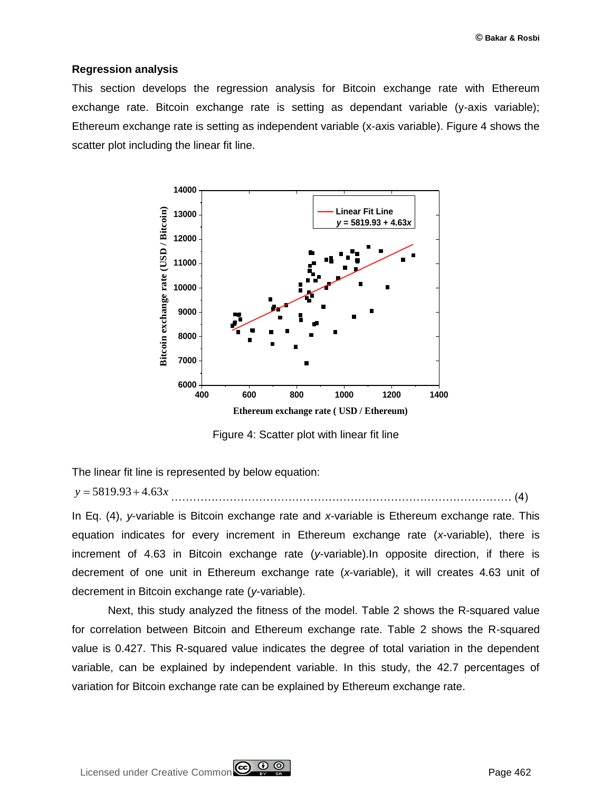#### **Regression analysis**

This section develops the regression analysis for Bitcoin exchange rate with Ethereum exchange rate. Bitcoin exchange rate is setting as dependant variable (y-axis variable); Ethereum exchange rate is setting as independent variable (x-axis variable). Figure 4 shows the scatter plot including the linear fit line.



Figure 4: Scatter plot with linear fit line

The linear fit line is represented by below equation:

decrement in Bitcoin exchange rate (*y*-variable).

$$
y = 5819.93 + 4.63x
$$
 (4)

In Eq. (4), *y*-variable is Bitcoin exchange rate and *x*-variable is Ethereum exchange rate. This equation indicates for every increment in Ethereum exchange rate (*x*-variable), there is increment of 4.63 in Bitcoin exchange rate (*y*-variable).In opposite direction, if there is decrement of one unit in Ethereum exchange rate (*x*-variable), it will creates 4.63 unit of

Next, this study analyzed the fitness of the model. Table 2 shows the R-squared value for correlation between Bitcoin and Ethereum exchange rate. Table 2 shows the R-squared value is 0.427. This R-squared value indicates the degree of total variation in the dependent variable, can be explained by independent variable. In this study, the 42.7 percentages of variation for Bitcoin exchange rate can be explained by Ethereum exchange rate.

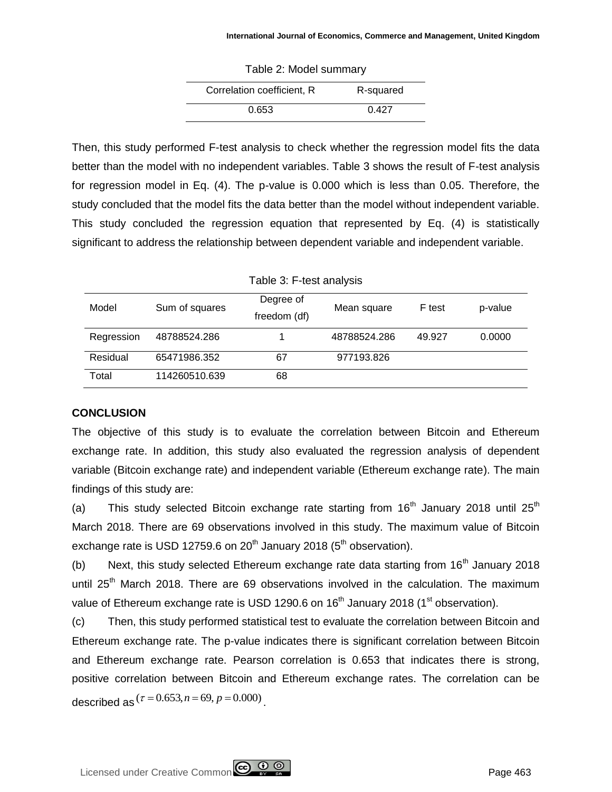| Table 2: Model summary     |           |  |  |  |
|----------------------------|-----------|--|--|--|
| Correlation coefficient, R | R-squared |  |  |  |
| 0.653                      | በ 427     |  |  |  |

Then, this study performed F-test analysis to check whether the regression model fits the data better than the model with no independent variables. Table 3 shows the result of F-test analysis for regression model in Eq. (4). The p-value is 0.000 which is less than 0.05. Therefore, the study concluded that the model fits the data better than the model without independent variable. This study concluded the regression equation that represented by Eq. (4) is statistically significant to address the relationship between dependent variable and independent variable.

| Table 3: F-test analysis |                |                           |              |        |         |  |  |  |
|--------------------------|----------------|---------------------------|--------------|--------|---------|--|--|--|
| Model                    | Sum of squares | Degree of<br>freedom (df) | Mean square  | F test | p-value |  |  |  |
| Regression               | 48788524.286   |                           | 48788524.286 | 49.927 | 0.0000  |  |  |  |
| Residual                 | 65471986.352   | 67                        | 977193.826   |        |         |  |  |  |
| Total                    | 114260510.639  | 68                        |              |        |         |  |  |  |

# **CONCLUSION**

The objective of this study is to evaluate the correlation between Bitcoin and Ethereum exchange rate. In addition, this study also evaluated the regression analysis of dependent variable (Bitcoin exchange rate) and independent variable (Ethereum exchange rate). The main findings of this study are:

(a) This study selected Bitcoin exchange rate starting from  $16<sup>th</sup>$  January 2018 until 25<sup>th</sup> March 2018. There are 69 observations involved in this study. The maximum value of Bitcoin exchange rate is USD 12759.6 on  $20<sup>th</sup>$  January 2018 ( $5<sup>th</sup>$  observation).

(b) Next, this study selected Ethereum exchange rate data starting from  $16<sup>th</sup>$  January 2018 until  $25<sup>th</sup>$  March 2018. There are 69 observations involved in the calculation. The maximum value of Ethereum exchange rate is USD 1290.6 on 16<sup>th</sup> January 2018 (1<sup>st</sup> observation).

(c) Then, this study performed statistical test to evaluate the correlation between Bitcoin and Ethereum exchange rate. The p-value indicates there is significant correlation between Bitcoin and Ethereum exchange rate. Pearson correlation is 0.653 that indicates there is strong, positive correlation between Bitcoin and Ethereum exchange rates. The correlation can be described as  $(\tau = 0.653, n = 69, p = 0.000)$  <sub>.</sub>

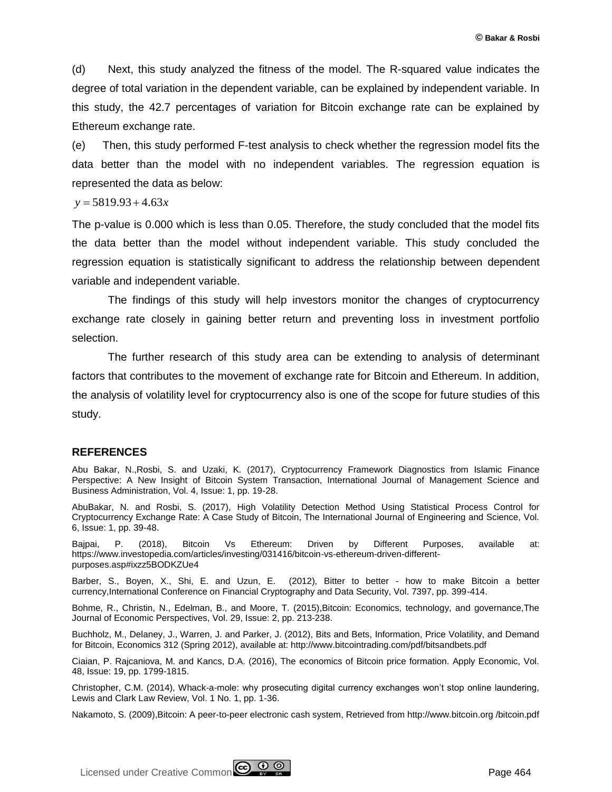(d) Next, this study analyzed the fitness of the model. The R-squared value indicates the degree of total variation in the dependent variable, can be explained by independent variable. In this study, the 42.7 percentages of variation for Bitcoin exchange rate can be explained by Ethereum exchange rate.

(e) Then, this study performed F-test analysis to check whether the regression model fits the data better than the model with no independent variables. The regression equation is represented the data as below:

 $y = 5819.93 + 4.63x$ 

The p-value is 0.000 which is less than 0.05. Therefore, the study concluded that the model fits the data better than the model without independent variable. This study concluded the regression equation is statistically significant to address the relationship between dependent variable and independent variable.

The findings of this study will help investors monitor the changes of cryptocurrency exchange rate closely in gaining better return and preventing loss in investment portfolio selection.

The further research of this study area can be extending to analysis of determinant factors that contributes to the movement of exchange rate for Bitcoin and Ethereum. In addition, the analysis of volatility level for cryptocurrency also is one of the scope for future studies of this study.

#### **REFERENCES**

Abu Bakar, N.,Rosbi, S. and Uzaki, K. (2017), Cryptocurrency Framework Diagnostics from Islamic Finance Perspective: A New Insight of Bitcoin System Transaction, International Journal of Management Science and Business Administration, Vol. 4, Issue: 1, pp. 19-28.

AbuBakar, N. and Rosbi, S. (2017), High Volatility Detection Method Using Statistical Process Control for Cryptocurrency Exchange Rate: A Case Study of Bitcoin, The International Journal of Engineering and Science, Vol. 6, Issue: 1, pp. 39-48.

Bajpai, P. (2018), Bitcoin Vs Ethereum: Driven by Different Purposes, available at: https://www.investopedia.com/articles/investing/031416/bitcoin-vs-ethereum-driven-differentpurposes.asp#ixzz5BODKZUe4

Barber, S., Boyen, X., Shi, E. and Uzun, E. (2012), Bitter to better - how to make Bitcoin a better currency,International Conference on Financial Cryptography and Data Security, Vol. 7397, pp. 399-414.

Bohme, R., Christin, N., Edelman, B., and Moore, T. (2015),Bitcoin: Economics, technology, and governance,The Journal of Economic Perspectives, Vol. 29, Issue: 2, pp. 213-238.

Buchholz, M., Delaney, J., Warren, J. and Parker, J. (2012), Bits and Bets, Information, Price Volatility, and Demand for Bitcoin, Economics 312 (Spring 2012), available at: http://www.bitcointrading.com/pdf/bitsandbets.pdf

Ciaian, P. Rajcaniova, M. and Kancs, D.A. (2016), The economics of Bitcoin price formation. Apply Economic, Vol. 48, Issue: 19, pp. 1799-1815.

Christopher, C.M. (2014), Whack-a-mole: why prosecuting digital currency exchanges won't stop online laundering, Lewis and Clark Law Review, Vol. 1 No. 1, pp. 1-36.

Nakamoto, S. (2009),Bitcoin: A peer-to-peer electronic cash system, Retrieved from http://www.bitcoin.org /bitcoin.pdf